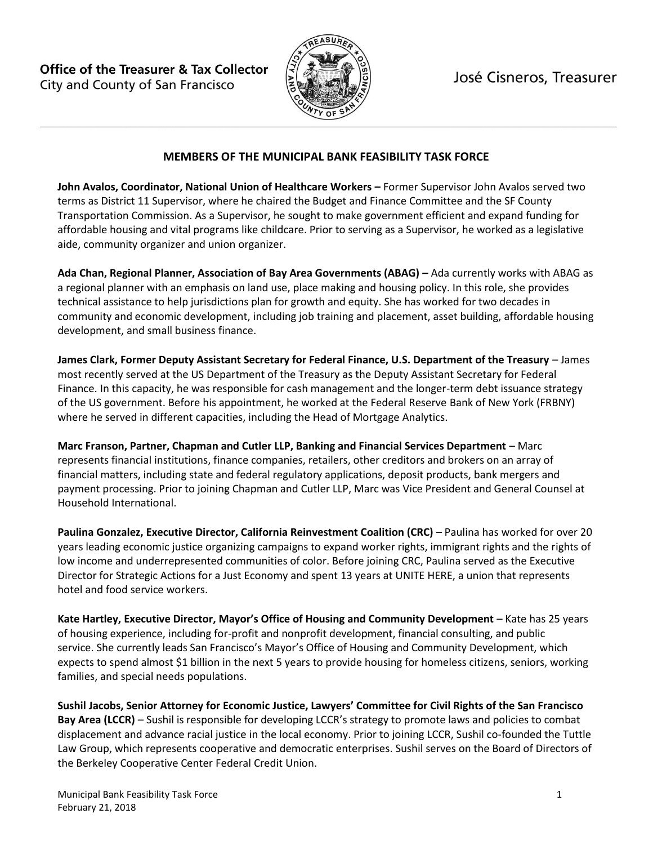**Office of the Treasurer & Tax Collector** City and County of San Francisco



José Cisneros, Treasurer

## **MEMBERS OF THE MUNICIPAL BANK FEASIBILITY TASK FORCE**

**John Avalos, Coordinator, National Union of Healthcare Workers –** Former Supervisor John Avalos served two terms as District 11 Supervisor, where he chaired the Budget and Finance Committee and the SF County Transportation Commission. As a Supervisor, he sought to make government efficient and expand funding for affordable housing and vital programs like childcare. Prior to serving as a Supervisor, he worked as a legislative aide, community organizer and union organizer.

**Ada Chan, Regional Planner, Association of Bay Area Governments (ABAG) –** Ada currently works with ABAG as a regional planner with an emphasis on land use, place making and housing policy. In this role, she provides technical assistance to help jurisdictions plan for growth and equity. She has worked for two decades in community and economic development, including job training and placement, asset building, affordable housing development, and small business finance.

**James Clark, Former Deputy Assistant Secretary for Federal Finance, U.S. Department of the Treasury** – James most recently served at the US Department of the Treasury as the Deputy Assistant Secretary for Federal Finance. In this capacity, he was responsible for cash management and the longer-term debt issuance strategy of the US government. Before his appointment, he worked at the Federal Reserve Bank of New York (FRBNY) where he served in different capacities, including the Head of Mortgage Analytics.

**Marc Franson, Partner, Chapman and Cutler LLP, Banking and Financial Services Department - Marc** represents financial institutions, finance companies, retailers, other creditors and brokers on an array of financial matters, including state and federal regulatory applications, deposit products, bank mergers and payment processing. Prior to joining Chapman and Cutler LLP, Marc was Vice President and General Counsel at Household International.

**Paulina Gonzalez, Executive Director, California Reinvestment Coalition (CRC)** – Paulina has worked for over 20 years leading economic justice organizing campaigns to expand worker rights, immigrant rights and the rights of low income and underrepresented communities of color. Before joining CRC, Paulina served as the Executive Director for Strategic Actions for a Just Economy and spent 13 years at UNITE HERE, a union that represents hotel and food service workers.

**Kate Hartley, Executive Director, Mayor's Office of Housing and Community Development** – Kate has 25 years of housing experience, including for-profit and nonprofit development, financial consulting, and public service. She currently leads San Francisco's Mayor's Office of Housing and Community Development, which expects to spend almost \$1 billion in the next 5 years to provide housing for homeless citizens, seniors, working families, and special needs populations.

**Sushil Jacobs, Senior Attorney for Economic Justice, Lawyers' Committee for Civil Rights of the San Francisco Bay Area (LCCR)** – Sushil is responsible for developing LCCR's strategy to promote laws and policies to combat displacement and advance racial justice in the local economy. Prior to joining LCCR, Sushil co-founded the Tuttle Law Group, which represents cooperative and democratic enterprises. Sushil serves on the Board of Directors of the Berkeley Cooperative Center Federal Credit Union.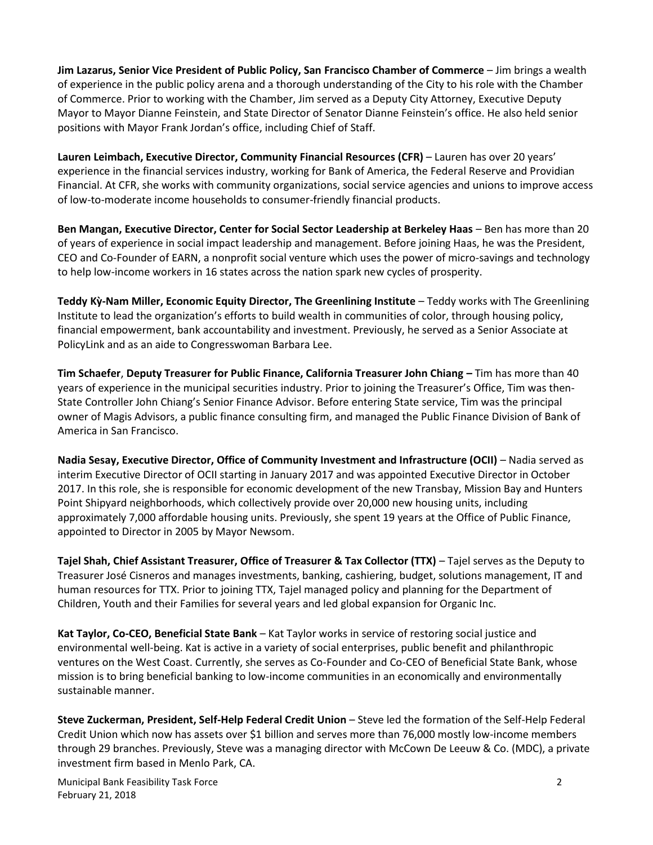**Jim Lazarus, Senior Vice President of Public Policy, San Francisco Chamber of Commerce** – Jim brings a wealth of experience in the public policy arena and a thorough understanding of the City to his role with the Chamber of Commerce. Prior to working with the Chamber, Jim served as a Deputy City Attorney, Executive Deputy Mayor to Mayor Dianne Feinstein, and State Director of Senator Dianne Feinstein's office. He also held senior positions with Mayor Frank Jordan's office, including Chief of Staff.

**Lauren Leimbach, Executive Director, Community Financial Resources (CFR)** – Lauren has over 20 years' experience in the financial services industry, working for Bank of America, the Federal Reserve and Providian Financial. At CFR, she works with community organizations, social service agencies and unions to improve access of low-to-moderate income households to consumer-friendly financial products.

**Ben Mangan, Executive Director, Center for Social Sector Leadership at Berkeley Haas** – Ben has more than 20 of years of experience in social impact leadership and management. Before joining Haas, he was the President, CEO and Co-Founder of EARN, a nonprofit social venture which uses the power of micro-savings and technology to help low-income workers in 16 states across the nation spark new cycles of prosperity.

**Teddy Kỳ-Nam Miller, Economic Equity Director, The Greenlining Institute** – Teddy works with The Greenlining Institute to lead the organization's efforts to build wealth in communities of color, through housing policy, financial empowerment, bank accountability and investment. Previously, he served as a Senior Associate at PolicyLink and as an aide to Congresswoman Barbara Lee.

**Tim Schaefer**, **Deputy Treasurer for Public Finance, California Treasurer John Chiang –** Tim has more than 40 years of experience in the municipal securities industry. Prior to joining the Treasurer's Office, Tim was then-State Controller John Chiang's Senior Finance Advisor. Before entering State service, Tim was the principal owner of Magis Advisors, a public finance consulting firm, and managed the Public Finance Division of Bank of America in San Francisco.

**Nadia Sesay, Executive Director, Office of Community Investment and Infrastructure (OCII)** – Nadia served as interim Executive Director of OCII starting in January 2017 and was appointed Executive Director in October 2017. In this role, she is responsible for economic development of the new Transbay, Mission Bay and Hunters Point Shipyard neighborhoods, which collectively provide over 20,000 new housing units, including approximately 7,000 affordable housing units. Previously, she spent 19 years at the Office of Public Finance, appointed to Director in 2005 by Mayor Newsom.

**Tajel Shah, Chief Assistant Treasurer, Office of Treasurer & Tax Collector (TTX)** – Tajel serves as the Deputy to Treasurer José Cisneros and manages investments, banking, cashiering, budget, solutions management, IT and human resources for TTX. Prior to joining TTX, Tajel managed policy and planning for the Department of Children, Youth and their Families for several years and led global expansion for Organic Inc.

**Kat Taylor, Co-CEO, Beneficial State Bank** – Kat Taylor works in service of restoring social justice and environmental well-being. Kat is active in a variety of social enterprises, public benefit and philanthropic ventures on the West Coast. Currently, she serves as Co-Founder and Co-CEO of Beneficial State Bank, whose mission is to bring beneficial banking to low-income communities in an economically and environmentally sustainable manner.

**Steve Zuckerman, President, Self-Help Federal Credit Union** – Steve led the formation of the Self-Help Federal Credit Union which now has assets over \$1 billion and serves more than 76,000 mostly low-income members through 29 branches. Previously, Steve was a managing director with McCown De Leeuw & Co. (MDC), a private investment firm based in Menlo Park, CA.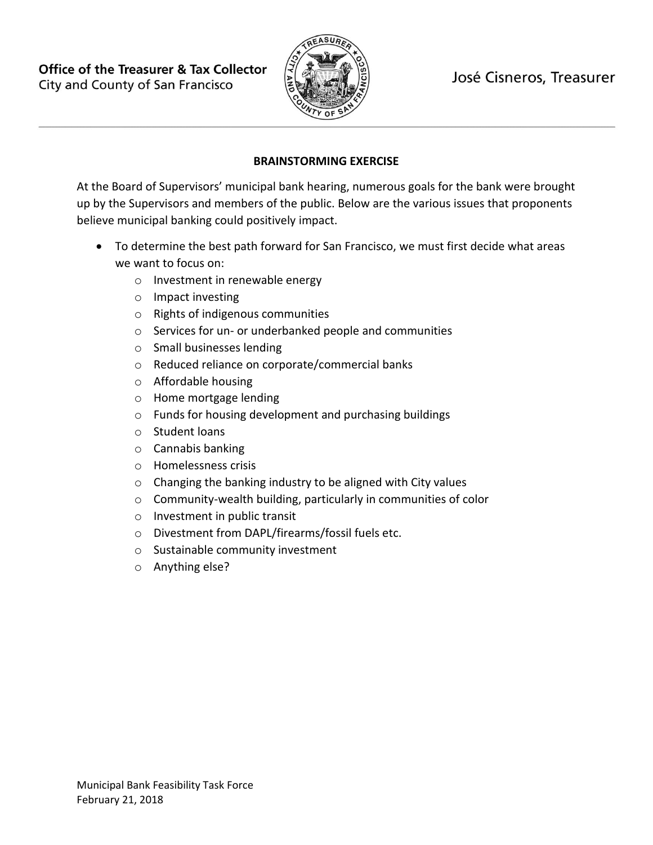**Office of the Treasurer & Tax Collector** City and County of San Francisco



# **BRAINSTORMING EXERCISE**

At the Board of Supervisors' municipal bank hearing, numerous goals for the bank were brought up by the Supervisors and members of the public. Below are the various issues that proponents believe municipal banking could positively impact.

- To determine the best path forward for San Francisco, we must first decide what areas we want to focus on:
	- o Investment in renewable energy
	- o Impact investing
	- o Rights of indigenous communities
	- o Services for un- or underbanked people and communities
	- o Small businesses lending
	- o Reduced reliance on corporate/commercial banks
	- o Affordable housing
	- o Home mortgage lending
	- o Funds for housing development and purchasing buildings
	- o Student loans
	- o Cannabis banking
	- o Homelessness crisis
	- o Changing the banking industry to be aligned with City values
	- o Community-wealth building, particularly in communities of color
	- o Investment in public transit
	- o Divestment from DAPL/firearms/fossil fuels etc.
	- o Sustainable community investment
	- o Anything else?